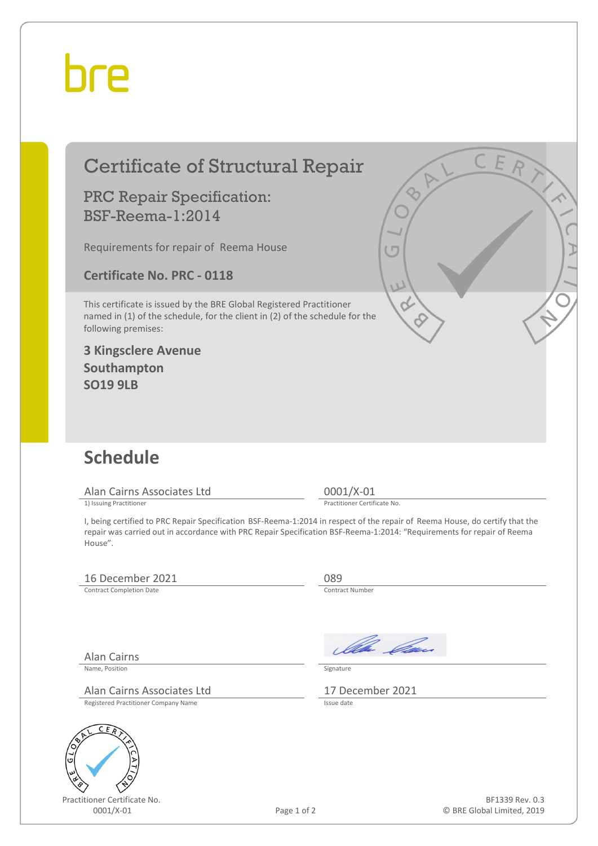## bre

| <b>Certificate of Structural Repair</b>                                                                                                                                    |             | CER                                                                                                                                                                                                                                                                                    |
|----------------------------------------------------------------------------------------------------------------------------------------------------------------------------|-------------|----------------------------------------------------------------------------------------------------------------------------------------------------------------------------------------------------------------------------------------------------------------------------------------|
| <b>PRC Repair Specification:</b><br><b>BSF-Reema-1:2014</b>                                                                                                                |             |                                                                                                                                                                                                                                                                                        |
| Requirements for repair of Reema House                                                                                                                                     |             | $\sqrt{2}$                                                                                                                                                                                                                                                                             |
| <b>Certificate No. PRC - 0118</b>                                                                                                                                          |             | W                                                                                                                                                                                                                                                                                      |
| This certificate is issued by the BRE Global Registered Practitioner<br>named in (1) of the schedule, for the client in (2) of the schedule for the<br>following premises: |             |                                                                                                                                                                                                                                                                                        |
| <b>3 Kingsclere Avenue</b><br>Southampton<br><b>SO19 9LB</b>                                                                                                               |             |                                                                                                                                                                                                                                                                                        |
|                                                                                                                                                                            |             |                                                                                                                                                                                                                                                                                        |
| <b>Schedule</b>                                                                                                                                                            |             |                                                                                                                                                                                                                                                                                        |
| Alan Cairns Associates Ltd                                                                                                                                                 |             | 0001/X-01                                                                                                                                                                                                                                                                              |
| 1) Issuing Practitioner<br>House".                                                                                                                                         |             | Practitioner Certificate No.<br>I, being certified to PRC Repair Specification BSF-Reema-1:2014 in respect of the repair of Reema House, do certify that the<br>repair was carried out in accordance with PRC Repair Specification BSF-Reema-1:2014: "Requirements for repair of Reema |
| 16 December 2021                                                                                                                                                           |             | 089                                                                                                                                                                                                                                                                                    |
| <b>Contract Completion Date</b>                                                                                                                                            |             | Contract Number                                                                                                                                                                                                                                                                        |
|                                                                                                                                                                            |             | Ma Can                                                                                                                                                                                                                                                                                 |
| <b>Alan Cairns</b><br>Name, Position                                                                                                                                       |             | Signature                                                                                                                                                                                                                                                                              |
| Alan Cairns Associates Ltd                                                                                                                                                 |             | 17 December 2021                                                                                                                                                                                                                                                                       |
| Registered Practitioner Company Name                                                                                                                                       |             | Issue date                                                                                                                                                                                                                                                                             |
| C<br>ER                                                                                                                                                                    |             |                                                                                                                                                                                                                                                                                        |
|                                                                                                                                                                            |             |                                                                                                                                                                                                                                                                                        |
| Practitioner Certificate No.                                                                                                                                               |             | BF1339 Rev. 0.3                                                                                                                                                                                                                                                                        |
| 0001/X-01                                                                                                                                                                  | Page 1 of 2 | © BRE Global Limited, 2019                                                                                                                                                                                                                                                             |